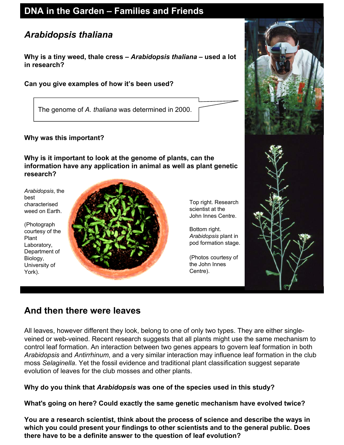## **DNA in the Garden – Families and Friends**

# *Arabidopsis thaliana*

**Why is a tiny weed, thale cress –** *Arabidopsis thaliana* **– used a lot in research?**

**Can you give examples of how it's been used?**

The genome of *A. thaliana* was determined in 2000.

### **Why was this important?**

**Why is it important to look at the genome of plants, can the information have any application in animal as well as plant genetic research?** 

*Arabidopsis*, the best characterised weed on Earth.

(Photograph courtesy of the Plant Laboratory, Department of Biology, University of York).



Top right. Research scientist at the John Innes Centre.

. pod formation stage Bottom right. *Arabidopsis* plant in

(Photos courtesy of the John Innes Centre).



## **And then there were leaves**

All leaves, however different they look, belong to one of only two types. They are either singleveined or web-veined. Recent research suggests that all plants might use the same mechanism to control leaf formation. An interaction between two genes appears to govern leaf formation in both *Arabidopsis* and *Antirrhinum*, and a very similar interaction may influence leaf formation in the club moss *Selaginella*. Yet the fossil evidence and traditional plant classification suggest separate evolution of leaves for the club mosses and other plants.

**Why do you think that** *Arabidopsis* **was one of the species used in this study?**

**What's going on here? Could exactly the same genetic mechanism have evolved twice?**

**You are a research scientist, think about the process of science and describe the ways in which you could present your findings to other scientists and to the general public. Does there have to be a definite answer to the question of leaf evolution?**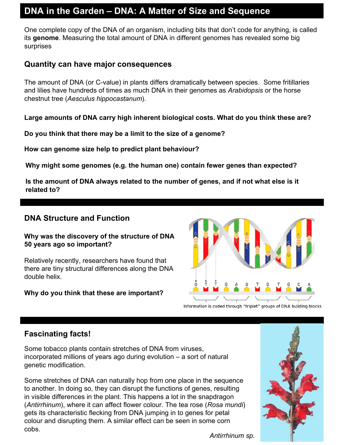## **DNA in the Garden – DNA: A Matter of Size and Sequence**

One complete copy of the DNA of an organism, including bits that don't code for anything, is called its **genome**. Measuring the total amount of DNA in different genomes has revealed some big surprises

### **Quantity can have major consequences**

The amount of DNA (or C-value) in plants differs dramatically between species. Some fritillaries and lilies have hundreds of times as much DNA in their genomes as *Arabidopsis* or the horse chestnut tree (*Aesculus hippocastanum*).

**Large amounts of DNA carry high inherent biological costs. What do you think these are?**

**Do you think that there may be a limit to the size of a genome?**

**How can genome size help to predict plant behaviour?** 

**Why might some genomes (e.g. the human one) contain fewer genes than expected?**

**Is the amount of DNA always related to the number of genes, and if not what else is it related to?**

### **DNA Structure and Function**

#### **Why was the discovery of the structure of DNA 50 years ago so important?**

Relatively recently, researchers have found that there are tiny structural differences along the DNA double helix.

#### **Why do you think that these are important?**



Information is coded through "triplet" groups of DNA building blocks

## **Fascinating facts!**

Some tobacco plants contain stretches of DNA from viruses, incorporated millions of years ago during evolution – a sort of natural genetic modification.

Some stretches of DNA can naturally hop from one place in the sequence to another. In doing so, they can disrupt the functions of genes, resulting in visible differences in the plant. This happens a lot in the snapdragon (*Antirrhinum*), where it can affect flower colour. The tea rose (*Rosa mundi*) gets its characteristic flecking from DNA jumping in to genes for petal colour and disrupting them. A similar effect can be seen in some corn cobs.



*Antirrhinum sp.*